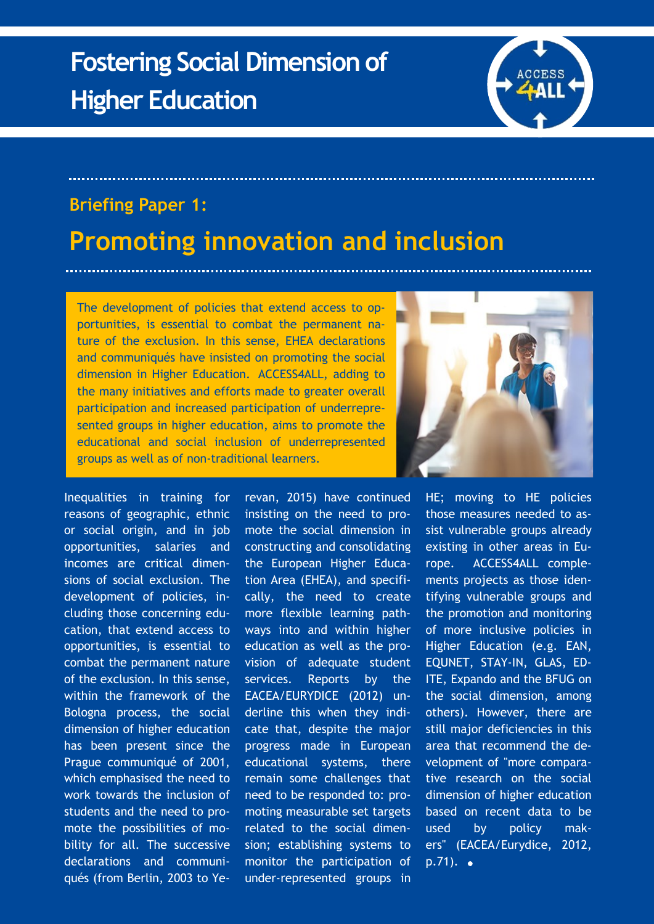

## **Briefing Paper 1:**

## **Promoting innovation and inclusion**

The development of policies that extend access to opportunities, is essential to combat the permanent nature of the exclusion. In this sense, EHEA declarations and communiqués have insisted on promoting the social dimension in Higher Education. ACCESS4ALL, adding to the many initiatives and efforts made to greater overall participation and increased participation of underrepresented groups in higher education, aims to promote the educational and social inclusion of underrepresented groups as well as of non-traditional learners.

Inequalities in training for reasons of geographic, ethnic or social origin, and in job opportunities, salaries and incomes are critical dimensions of social exclusion. The development of policies, including those concerning education, that extend access to opportunities, is essential to combat the permanent nature of the exclusion. In this sense, within the framework of the Bologna process, the social dimension of higher education has been present since the Prague communiqué of 2001, which emphasised the need to work towards the inclusion of students and the need to promote the possibilities of mobility for all. The successive declarations and communiqués (from Berlin, 2003 to Yerevan, 2015) have continued insisting on the need to promote the social dimension in constructing and consolidating the European Higher Education Area (EHEA), and specifically, the need to create more flexible learning pathways into and within higher education as well as the provision of adequate student services. Reports by the EACEA/EURYDICE (2012) underline this when they indicate that, despite the major progress made in European educational systems, there remain some challenges that need to be responded to: promoting measurable set targets related to the social dimension; establishing systems to monitor the participation of under-represented groups in



HE; moving to HE policies those measures needed to assist vulnerable groups already existing in other areas in Europe. ACCESS4ALL complements projects as those identifying vulnerable groups and the promotion and monitoring of more inclusive policies in Higher Education (e.g. EAN, EQUNET, STAY-IN, GLAS, ED-ITE, Expando and the BFUG on the social dimension, among others). However, there are still major deficiencies in this area that recommend the development of "more comparative research on the social dimension of higher education based on recent data to be used by policy makers" (EACEA/Eurydice, 2012,  $p.71$ ).  $\bullet$